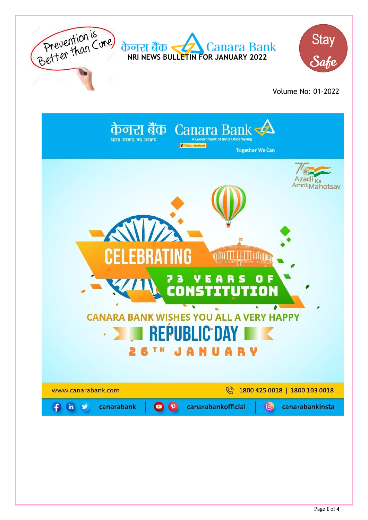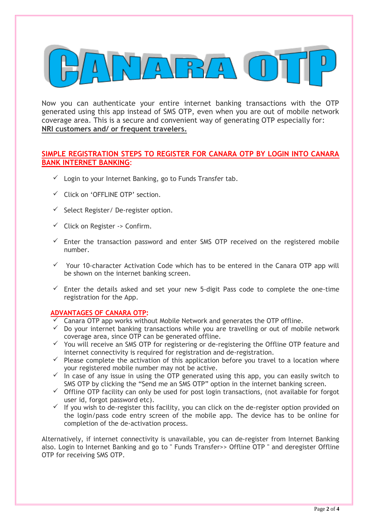

Now you can authenticate your entire internet banking transactions with the OTP generated using this app instead of SMS OTP, even when you are out of mobile network coverage area. This is a secure and convenient way of generating OTP especially for: **NRI customers and/ or frequent travelers.**

## **SIMPLE REGISTRATION STEPS TO REGISTER FOR CANARA OTP BY LOGIN INTO CANARA BANK INTERNET BANKING**:

- $\checkmark$  Login to your Internet Banking, go to Funds Transfer tab.
- $\checkmark$  Click on 'OFFLINE OTP' section
- $\checkmark$  Select Register/ De-register option.
- $\checkmark$  Click on Register -> Confirm.
- $\checkmark$  Enter the transaction password and enter SMS OTP received on the registered mobile number.
- $\checkmark$  Your 10-character Activation Code which has to be entered in the Canara OTP app will be shown on the internet banking screen.
- $\checkmark$  Enter the details asked and set your new 5-digit Pass code to complete the one-time registration for the App.

## **ADVANTAGES OF CANARA OTP:**

- $\checkmark$  Canara OTP app works without Mobile Network and generates the OTP offline.
- $\checkmark$  Do your internet banking transactions while you are travelling or out of mobile network coverage area, since OTP can be generated offline.
- $\checkmark$  You will receive an SMS OTP for registering or de-registering the Offline OTP feature and internet connectivity is required for registration and de-registration.
- $\checkmark$  Please complete the activation of this application before you travel to a location where your registered mobile number may not be active.
- $\checkmark$  in case of any issue in using the OTP generated using this app, you can easily switch to SMS OTP by clicking the "Send me an SMS OTP" option in the internet banking screen.
- $\checkmark$  Offline OTP facility can only be used for post login transactions, (not available for forgot user id, forgot password etc).
- $\checkmark$  If you wish to de-register this facility, you can click on the de-register option provided on the login/pass code entry screen of the mobile app. The device has to be online for completion of the de-activation process.

Alternatively, if internet connectivity is unavailable, you can de-register from Internet Banking also. Login to Internet Banking and go to " Funds Transfer>> Offline OTP " and deregister Offline OTP for receiving SMS OTP.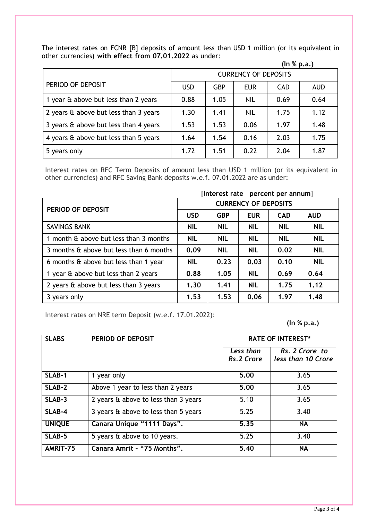The interest rates on FCNR [B] deposits of amount less than USD 1 million (or its equivalent in other currencies) **with effect from 07.01.2022** as under:

| (ln % p.a.) |
|-------------|
|-------------|

|                                       | <b>CURRENCY OF DEPOSITS</b> |            |            |            |            |
|---------------------------------------|-----------------------------|------------|------------|------------|------------|
| PERIOD OF DEPOSIT                     | <b>USD</b>                  | <b>GBP</b> | <b>EUR</b> | <b>CAD</b> | <b>AUD</b> |
| 1 year & above but less than 2 years  | 0.88                        | 1.05       | <b>NIL</b> | 0.69       | 0.64       |
| 2 years & above but less than 3 years | 1.30                        | 1.41       | <b>NIL</b> | 1.75       | 1.12       |
| 3 years & above but less than 4 years | 1.53                        | 1.53       | 0.06       | 1.97       | 1.48       |
| 4 years & above but less than 5 years | 1.64                        | 1.54       | 0.16       | 2.03       | 1.75       |
| 5 years only                          | 1.72                        | 1.51       | 0.22       | 2.04       | 1.87       |

Interest rates on RFC Term Deposits of amount less than USD 1 million (or its equivalent in other currencies) and RFC Saving Bank deposits w.e.f. 07.01.2022 are as under:

|                                         | [Interest rate percent per annum] |            |            |            |            |
|-----------------------------------------|-----------------------------------|------------|------------|------------|------------|
| PERIOD OF DEPOSIT                       | <b>CURRENCY OF DEPOSITS</b>       |            |            |            |            |
|                                         | <b>USD</b>                        | <b>GBP</b> | <b>EUR</b> | <b>CAD</b> | <b>AUD</b> |
| <b>SAVINGS BANK</b>                     | <b>NIL</b>                        | <b>NIL</b> | <b>NIL</b> | <b>NIL</b> | <b>NIL</b> |
| 1 month & above but less than 3 months  | <b>NIL</b>                        | <b>NIL</b> | <b>NIL</b> | <b>NIL</b> | <b>NIL</b> |
| 3 months & above but less than 6 months | 0.09                              | <b>NIL</b> | <b>NIL</b> | 0.02       | <b>NIL</b> |
| 6 months & above but less than 1 year   | <b>NIL</b>                        | 0.23       | 0.03       | 0.10       | <b>NIL</b> |
| 1 year & above but less than 2 years    | 0.88                              | 1.05       | <b>NIL</b> | 0.69       | 0.64       |
| 2 years & above but less than 3 years   | 1.30                              | 1.41       | <b>NIL</b> | 1.75       | 1.12       |
| 3 years only                            | 1.53                              | 1.53       | 0.06       | 1.97       | 1.48       |

Interest rates on NRE term Deposit (w.e.f. 17.01.2022):

**(In % p.a.)**

| <b>SLABS</b>  | PERIOD OF DEPOSIT                    | <b>RATE OF INTEREST*</b> |                                      |
|---------------|--------------------------------------|--------------------------|--------------------------------------|
|               |                                      | Less than<br>Rs.2 Crore  | Rs. 2 Crore to<br>less than 10 Crore |
| SLAB-1        | 1 year only                          | 5.00                     | 3.65                                 |
| SLAB-2        | Above 1 year to less than 2 years    | 5.00                     | 3.65                                 |
| SLAB-3        | 2 years & above to less than 3 years | 5.10                     | 3.65                                 |
| SLAB-4        | 3 years & above to less than 5 years | 5.25                     | 3.40                                 |
| <b>UNIQUE</b> | Canara Unique "1111 Days".           | 5.35                     | <b>NA</b>                            |
| SLAB-5        | 5 years & above to 10 years.         | 5.25                     | 3.40                                 |
| AMRIT-75      | Canara Amrit - "75 Months".          | 5.40                     | <b>NA</b>                            |